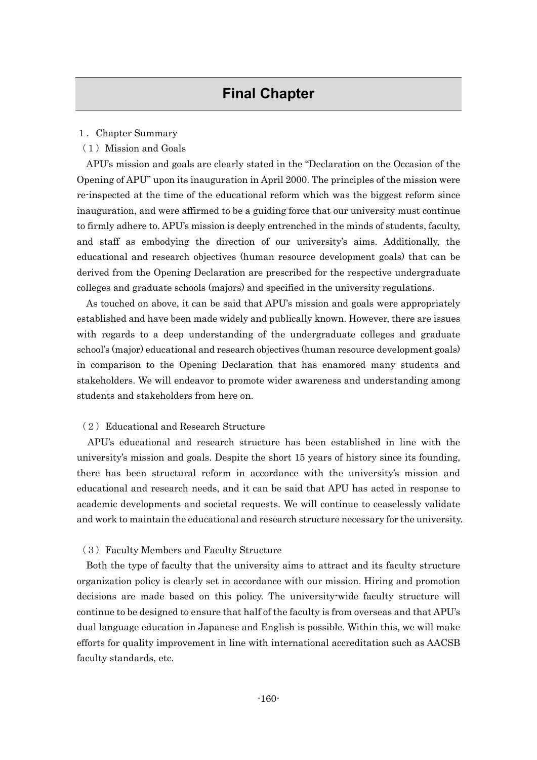### 1.Chapter Summary

(1)Mission and Goals

APU's mission and goals are clearly stated in the "Declaration on the Occasion of the Opening of APU" upon its inauguration in April 2000. The principles of the mission were re-inspected at the time of the educational reform which was the biggest reform since inauguration, and were affirmed to be a guiding force that our university must continue to firmly adhere to. APU's mission is deeply entrenched in the minds of students, faculty, and staff as embodying the direction of our university's aims. Additionally, the educational and research objectives (human resource development goals) that can be derived from the Opening Declaration are prescribed for the respective undergraduate colleges and graduate schools (majors) and specified in the university regulations.

As touched on above, it can be said that APU's mission and goals were appropriately established and have been made widely and publically known. However, there are issues with regards to a deep understanding of the undergraduate colleges and graduate school's (major) educational and research objectives (human resource development goals) in comparison to the Opening Declaration that has enamored many students and stakeholders. We will endeavor to promote wider awareness and understanding among students and stakeholders from here on.

## (2) Educational and Research Structure

APU's educational and research structure has been established in line with the university's mission and goals. Despite the short 15 years of history since its founding, there has been structural reform in accordance with the university's mission and educational and research needs, and it can be said that APU has acted in response to academic developments and societal requests. We will continue to ceaselessly validate and work to maintain the educational and research structure necessary for the university.

## (3)Faculty Members and Faculty Structure

Both the type of faculty that the university aims to attract and its faculty structure organization policy is clearly set in accordance with our mission. Hiring and promotion decisions are made based on this policy. The university-wide faculty structure will continue to be designed to ensure that half of the faculty is from overseas and that APU's dual language education in Japanese and English is possible. Within this, we will make efforts for quality improvement in line with international accreditation such as AACSB faculty standards, etc.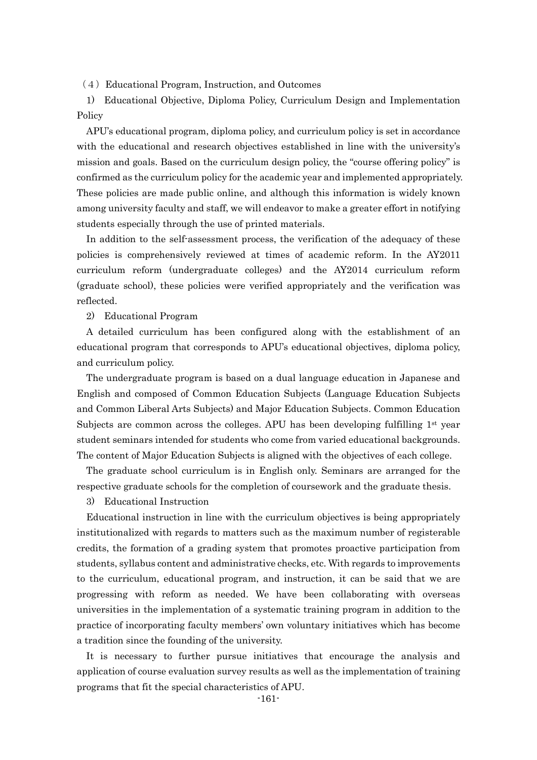(4)Educational Program, Instruction, and Outcomes

1) Educational Objective, Diploma Policy, Curriculum Design and Implementation Policy

APU's educational program, diploma policy, and curriculum policy is set in accordance with the educational and research objectives established in line with the university's mission and goals. Based on the curriculum design policy, the "course offering policy" is confirmed as the curriculum policy for the academic year and implemented appropriately. These policies are made public online, and although this information is widely known among university faculty and staff, we will endeavor to make a greater effort in notifying students especially through the use of printed materials.

In addition to the self-assessment process, the verification of the adequacy of these policies is comprehensively reviewed at times of academic reform. In the AY2011 curriculum reform (undergraduate colleges) and the AY2014 curriculum reform (graduate school), these policies were verified appropriately and the verification was reflected.

2) Educational Program

A detailed curriculum has been configured along with the establishment of an educational program that corresponds to APU's educational objectives, diploma policy, and curriculum policy.

The undergraduate program is based on a dual language education in Japanese and English and composed of Common Education Subjects (Language Education Subjects and Common Liberal Arts Subjects) and Major Education Subjects. Common Education Subjects are common across the colleges. APU has been developing fulfilling  $1<sup>st</sup>$  year student seminars intended for students who come from varied educational backgrounds. The content of Major Education Subjects is aligned with the objectives of each college.

The graduate school curriculum is in English only. Seminars are arranged for the respective graduate schools for the completion of coursework and the graduate thesis.

3) Educational Instruction

Educational instruction in line with the curriculum objectives is being appropriately institutionalized with regards to matters such as the maximum number of registerable credits, the formation of a grading system that promotes proactive participation from students, syllabus content and administrative checks, etc. With regards to improvements to the curriculum, educational program, and instruction, it can be said that we are progressing with reform as needed. We have been collaborating with overseas universities in the implementation of a systematic training program in addition to the practice of incorporating faculty members' own voluntary initiatives which has become a tradition since the founding of the university.

It is necessary to further pursue initiatives that encourage the analysis and application of course evaluation survey results as well as the implementation of training programs that fit the special characteristics of APU.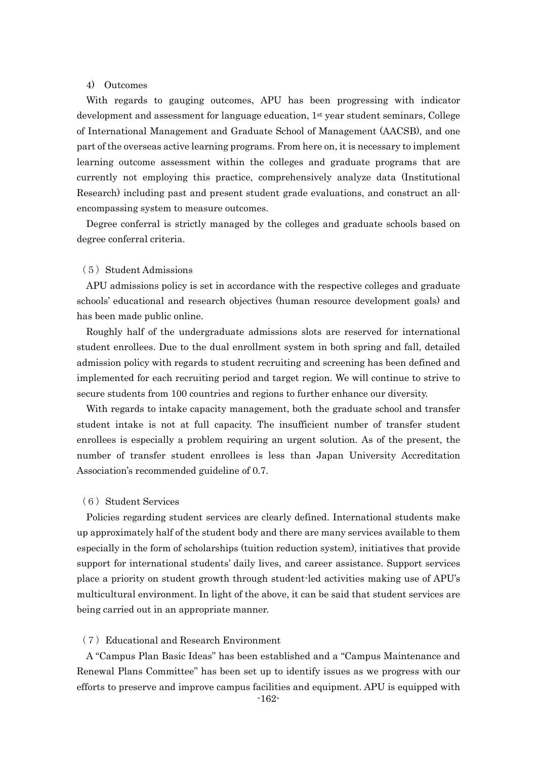# 4) Outcomes

With regards to gauging outcomes, APU has been progressing with indicator development and assessment for language education, 1st year student seminars, College of International Management and Graduate School of Management (AACSB), and one part of the overseas active learning programs. From here on, it is necessary to implement learning outcome assessment within the colleges and graduate programs that are currently not employing this practice, comprehensively analyze data (Institutional Research) including past and present student grade evaluations, and construct an allencompassing system to measure outcomes.

Degree conferral is strictly managed by the colleges and graduate schools based on degree conferral criteria.

#### (5) Student Admissions

APU admissions policy is set in accordance with the respective colleges and graduate schools' educational and research objectives (human resource development goals) and has been made public online.

Roughly half of the undergraduate admissions slots are reserved for international student enrollees. Due to the dual enrollment system in both spring and fall, detailed admission policy with regards to student recruiting and screening has been defined and implemented for each recruiting period and target region. We will continue to strive to secure students from 100 countries and regions to further enhance our diversity.

With regards to intake capacity management, both the graduate school and transfer student intake is not at full capacity. The insufficient number of transfer student enrollees is especially a problem requiring an urgent solution. As of the present, the number of transfer student enrollees is less than Japan University Accreditation Association's recommended guideline of 0.7.

### (6) Student Services

Policies regarding student services are clearly defined. International students make up approximately half of the student body and there are many services available to them especially in the form of scholarships (tuition reduction system), initiatives that provide support for international students' daily lives, and career assistance. Support services place a priority on student growth through student-led activities making use of APU's multicultural environment. In light of the above, it can be said that student services are being carried out in an appropriate manner.

### (7)Educational and Research Environment

A "Campus Plan Basic Ideas" has been established and a "Campus Maintenance and Renewal Plans Committee" has been set up to identify issues as we progress with our efforts to preserve and improve campus facilities and equipment. APU is equipped with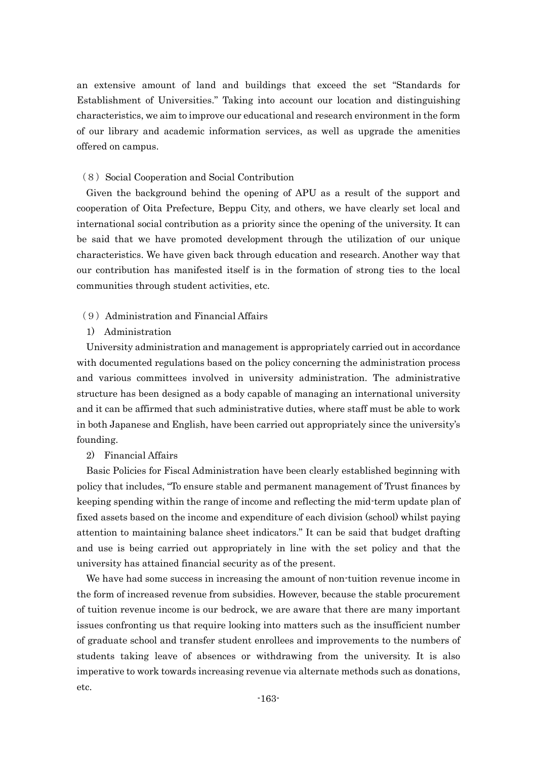an extensive amount of land and buildings that exceed the set "Standards for Establishment of Universities." Taking into account our location and distinguishing characteristics, we aim to improve our educational and research environment in the form of our library and academic information services, as well as upgrade the amenities offered on campus.

## (8) Social Cooperation and Social Contribution

Given the background behind the opening of APU as a result of the support and cooperation of Oita Prefecture, Beppu City, and others, we have clearly set local and international social contribution as a priority since the opening of the university. It can be said that we have promoted development through the utilization of our unique characteristics. We have given back through education and research. Another way that our contribution has manifested itself is in the formation of strong ties to the local communities through student activities, etc.

## (9)Administration and Financial Affairs

1) Administration

University administration and management is appropriately carried out in accordance with documented regulations based on the policy concerning the administration process and various committees involved in university administration. The administrative structure has been designed as a body capable of managing an international university and it can be affirmed that such administrative duties, where staff must be able to work in both Japanese and English, have been carried out appropriately since the university's founding.

2) Financial Affairs

Basic Policies for Fiscal Administration have been clearly established beginning with policy that includes, "To ensure stable and permanent management of Trust finances by keeping spending within the range of income and reflecting the mid-term update plan of fixed assets based on the income and expenditure of each division (school) whilst paying attention to maintaining balance sheet indicators." It can be said that budget drafting and use is being carried out appropriately in line with the set policy and that the university has attained financial security as of the present.

We have had some success in increasing the amount of non-tuition revenue income in the form of increased revenue from subsidies. However, because the stable procurement of tuition revenue income is our bedrock, we are aware that there are many important issues confronting us that require looking into matters such as the insufficient number of graduate school and transfer student enrollees and improvements to the numbers of students taking leave of absences or withdrawing from the university. It is also imperative to work towards increasing revenue via alternate methods such as donations, etc.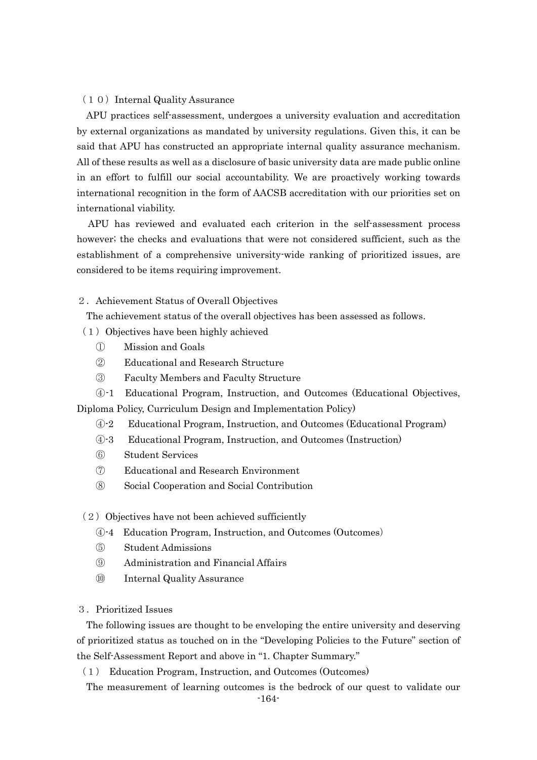## (10) Internal Quality Assurance

APU practices self-assessment, undergoes a university evaluation and accreditation by external organizations as mandated by university regulations. Given this, it can be said that APU has constructed an appropriate internal quality assurance mechanism. All of these results as well as a disclosure of basic university data are made public online in an effort to fulfill our social accountability. We are proactively working towards international recognition in the form of AACSB accreditation with our priorities set on international viability.

APU has reviewed and evaluated each criterion in the self-assessment process however; the checks and evaluations that were not considered sufficient, such as the establishment of a comprehensive university-wide ranking of prioritized issues, are considered to be items requiring improvement.

### 2. Achievement Status of Overall Objectives

The achievement status of the overall objectives has been assessed as follows.

- (1)Objectives have been highly achieved
	- ① Mission and Goals
	- ② Educational and Research Structure
	- ③ Faculty Members and Faculty Structure

④-1 Educational Program, Instruction, and Outcomes (Educational Objectives,

Diploma Policy, Curriculum Design and Implementation Policy)

- ④-2 Educational Program, Instruction, and Outcomes (Educational Program)
- ④-3 Educational Program, Instruction, and Outcomes (Instruction)
- ⑥ Student Services
- ⑦ Educational and Research Environment
- ⑧ Social Cooperation and Social Contribution

### $(2)$  Objectives have not been achieved sufficiently

- ④-4 Education Program, Instruction, and Outcomes (Outcomes)
- ⑤ Student Admissions
- ⑨ Administration and Financial Affairs
- ⑩ Internal Quality Assurance

## 3.Prioritized Issues

The following issues are thought to be enveloping the entire university and deserving of prioritized status as touched on in the "Developing Policies to the Future" section of the Self-Assessment Report and above in "1. Chapter Summary."

(1) Education Program, Instruction, and Outcomes (Outcomes)

The measurement of learning outcomes is the bedrock of our quest to validate our